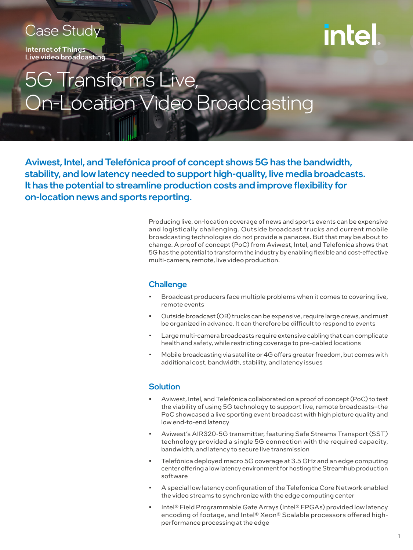### Case Study

Internet of Things Live video broadcasting

# intel

## Transforms Live, n-Location Video Broadcasting

Aviwest, Intel, and Telefónica proof of concept shows 5G has the bandwidth, stability, and low latency needed to support high-quality, live media broadcasts. It has the potential to streamline production costs and improve flexibility for on-location news and sports reporting.

> Producing live, on-location coverage of news and sports events can be expensive and logistically challenging. Outside broadcast trucks and current mobile broadcasting technologies do not provide a panacea. But that may be about to change. A proof of concept (PoC) from Aviwest, Intel, and Telefónica shows that 5G has the potential to transform the industry by enabling flexible and cost-effective multi-camera, remote, live video production.

#### **Challenge**

- Broadcast producers face multiple problems when it comes to covering live, remote events
- Outside broadcast (OB) trucks can be expensive, require large crews, and must be organized in advance. It can therefore be difficult to respond to events
- Large multi-camera broadcasts require extensive cabling that can complicate health and safety, while restricting coverage to pre-cabled locations
- Mobile broadcasting via satellite or 4G offers greater freedom, but comes with additional cost, bandwidth, stability, and latency issues

#### **Solution**

- Aviwest, Intel, and Telefónica collaborated on a proof of concept (PoC) to test the viability of using 5G technology to support live, remote broadcasts–the PoC showcased a live sporting event broadcast with high picture quality and low end-to-end latency
- Aviwest's AIR320-5G transmitter, featuring Safe Streams Transport (SST) technology provided a single 5G connection with the required capacity, bandwidth, and latency to secure live transmission
- Telefónica deployed macro 5G coverage at 3.5 GHz and an edge computing center offering a low latency environment for hosting the Streamhub production software
- A special low latency configuration of the Telefonica Core Network enabled the video streams to synchronize with the edge computing center
- Intel® Field Programmable Gate Arrays (Intel® FPGAs) provided low latency encoding of footage, and Intel® Xeon® Scalable processors offered highperformance processing at the edge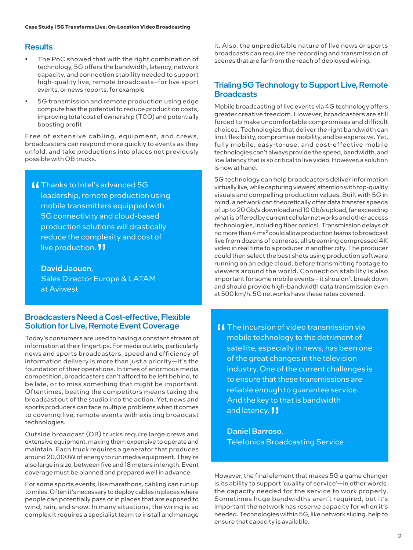#### **Results**

- The PoC showed that with the right combination of technology, 5G offers the bandwidth, latency, network capacity, and connection stability needed to support high-quality live, remote broadcasts–for live sport events, or news reports, for example
- 5G transmission and remote production using edge compute has the potential to reduce production costs, improving total cost of ownership (TCO) and potentially boosting profit

Free of extensive cabling, equipment, and crews, broadcasters can respond more quickly to events as they unfold, and take productions into places not previously possible with OB trucks.

**II** Thanks to Intel's advanced 5G leadership, remote production using mobile transmitters equipped with 5G connectivity and cloud-based production solutions will drastically reduce the complexity and cost of live production. **11** 

David Jaouen,

Sales Director Europe & LATAM at Aviwest

#### Broadcasters Need a Cost-effective, Flexible Solution for Live, Remote Event Coverage

Today's consumers are used to having a constant stream of information at their fingertips. For media outlets, particularly news and sports broadcasters, speed and efficiency of information delivery is more than just a priority—it's the foundation of their operations. In times of enormous media competition, broadcasters can't afford to be left behind, to be late, or to miss something that might be important. Oftentimes, beating the competitors means taking the broadcast out of the studio into the action. Yet, news and sports producers can face multiple problems when it comes to covering live, remote events with existing broadcast technologies.

Outside broadcast (OB) trucks require large crews and extensive equipment, making them expensive to operate and maintain. Each truck requires a generator that produces around 20,000W of energy to run media equipment. They're also large in size, between five and 18 meters in length. Event coverage must be planned and prepared well in advance.

For some sports events, like marathons, cabling can run up to miles. Often it's necessary to deploy cables in places where people can potentially pass or in places that are exposed to wind, rain, and snow. In many situations, the wiring is so complex it requires a specialist team to install and manage it. Also, the unpredictable nature of live news or sports broadcasts can require the recording and transmission of scenes that are far from the reach of deployed wiring.

#### Trialing 5G Technology to Support Live, Remote **Broadcasts**

Mobile broadcasting of live events via 4G technology offers greater creative freedom. However, broadcasters are still forced to make uncomfortable compromises and difficult choices. Technologies that deliver the right bandwidth can limit flexibility, compromise mobility, and be expensive. Yet, fully mobile, easy-to-use, and cost-effective mobile technologies can't always provide the speed, bandwidth, and low latency that is so critical to live video. However, a solution is now at hand.

5G technology can help broadcasters deliver information virtually live, while capturing viewers' attention with top-quality visuals and compelling production values. Built with 5G in mind, a network can theoretically offer data transfer speeds of up to 20 Gb/s download and 10 Gb/s upload, far exceeding what is offered by current cellular networks and other access technologies, including fiber optics1. Transmission delays of no more than 4 ms<sup>2</sup> could allow production teams to broadcast live from dozens of cameras, all streaming compressed 4K video in real time to a producer in another city. The producer could then select the best shots using production software running on an edge cloud, before transmitting footage to viewers around the world. Connection stability is also important for some mobile events—it shouldn't break down and should provide high-bandwidth data transmission even at 500 km/h. 5G networks have these rates covered.

**II** The incursion of video transmission via mobile technology to the detriment of satellite, especially in news, has been one of the great changes in the television industry. One of the current challenges is to ensure that these transmissions are reliable enough to guarantee service. And the key to that is bandwidth and latency. **11** 

Daniel Barroso, Telefonica Broadcasting Service

However, the final element that makes 5G a game changer is its ability to support 'quality of service'—in other words, the capacity needed for the service to work properly. Sometimes huge bandwidths aren't required, but it's important the network has reserve capacity for when it's needed. Technologies within 5G, like network slicing, help to ensure that capacity is available.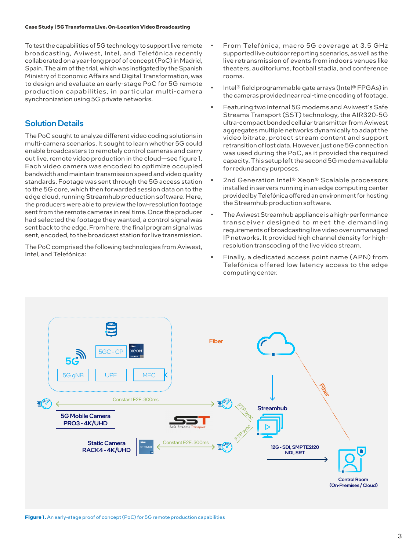To test the capabilities of 5G technology to support live remote broadcasting, Aviwest, Intel, and Telefónica recently collaborated on a year-long proof of concept (PoC) in Madrid, Spain. The aim of the trial, which was instigated by the Spanish Ministry of Economic Affairs and Digital Transformation, was to design and evaluate an early-stage PoC for 5G remote production capabilities, in particular multi-camera synchronization using 5G private networks.

#### Solution Details

The PoC sought to analyze different video coding solutions in multi-camera scenarios. It sought to learn whether 5G could enable broadcasters to remotely control cameras and carry out live, remote video production in the cloud—see figure 1. Each video camera was encoded to optimize occupied bandwidth and maintain transmission speed and video quality standards. Footage was sent through the 5G access station to the 5G core, which then forwarded session data on to the edge cloud, running Streamhub production software. Here, the producers were able to preview the low-resolution footage sent from the remote cameras in real time. Once the producer had selected the footage they wanted, a control signal was sent back to the edge. From here, the final program signal was sent, encoded, to the broadcast station for live transmission.

The PoC comprised the following technologies from Aviwest, Intel, and Telefónica:

- From Telefónica, macro 5G coverage at 3.5 GHz supported live outdoor reporting scenarios, as well as the live retransmission of events from indoors venues like theaters, auditoriums, football stadia, and conference rooms.
- Intel® field programmable gate arrays (Intel® FPGAs) in the cameras provided near real-time encoding of footage.
- Featuring two internal 5G modems and Aviwest's Safe Streams Transport (SST) technology, the AIR320-5G ultra-compact bonded cellular transmitter from Aviwest aggregates multiple networks dynamically to adapt the video bitrate, protect stream content and support retransition of lost data. However, just one 5G connection was used during the PoC, as it provided the required capacity. This setup left the second 5G modem available for redundancy purposes.
- 2nd Generation Intel® Xeon® Scalable processors installed in servers running in an edge computing center provided by Telefónica offered an environment for hosting the Streamhub production software.
- The Aviwest Streamhub appliance is a high-performance transceiver designed to meet the demanding requirements of broadcasting live video over unmanaged IP networks. It provided high channel density for highresolution transcoding of the live video stream.
- Finally, a dedicated access point name (APN) from Telefónica offered low latency access to the edge computing center.

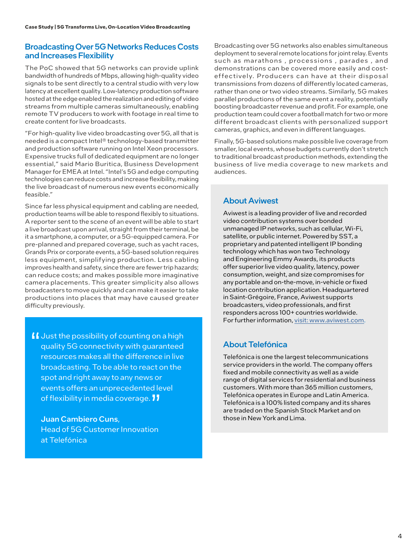#### Broadcasting Over 5G Networks Reduces Costs and Increases Flexibility

The PoC showed that 5G networks can provide uplink bandwidth of hundreds of Mbps, allowing high-quality video signals to be sent directly to a central studio with very low latency at excellent quality. Low-latency production software hosted at the edge enabled the realization and editing of video streams from multiple cameras simultaneously, enabling remote TV producers to work with footage in real time to create content for live broadcasts.

"For high-quality live video broadcasting over 5G, all that is needed is a compact Intel® technology-based transmitter and production software running on Intel Xeon processors. Expensive trucks full of dedicated equipment are no longer essential," said Mario Buritica, Business Development Manager for EMEA at Intel. "Intel's 5G and edge computing technologies can reduce costs and increase flexibility, making the live broadcast of numerous new events economically feasible."

Since far less physical equipment and cabling are needed, production teams will be able to respond flexibly to situations. A reporter sent to the scene of an event will be able to start a live broadcast upon arrival, straight from their terminal, be it a smartphone, a computer, or a 5G-equipped camera. For pre-planned and prepared coverage, such as yacht races, Grands Prix or corporate events, a 5G-based solution requires less equipment, simplifying production. Less cabling improves health and safety, since there are fewer trip hazards; can reduce costs; and makes possible more imaginative camera placements. This greater simplicity also allows broadcasters to move quickly and can make it easier to take productions into places that may have caused greater difficulty previously.

If Just the possibility of counting on a high quality 5G connectivity with guaranteed resources makes all the difference in live broadcasting. To be able to react on the spot and right away to any news or events offers an unprecedented level of flexibility in media coverage.  $\blacksquare$ 

Juan Cambiero Cuns, Head of 5G Customer Innovation at Telefónica

Broadcasting over 5G networks also enables simultaneous deployment to several remote locations for joint relay. Events such as marathons, processions, parades, and demonstrations can be covered more easily and costeffectively. Producers can have at their disposal transmissions from dozens of differently located cameras, rather than one or two video streams. Similarly, 5G makes parallel productions of the same event a reality, potentially boosting broadcaster revenue and profit. For example, one production team could cover a football match for two or more different broadcast clients with personalized support cameras, graphics, and even in different languages.

Finally, 5G-based solutions make possible live coverage from smaller, local events, whose budgets currently don't stretch to traditional broadcast production methods, extending the business of live media coverage to new markets and audiences.

#### About Aviwest

Aviwest is a leading provider of live and recorded video contribution systems over bonded unmanaged IP networks, such as cellular, Wi-Fi, satellite, or public internet. Powered by SST, a proprietary and patented intelligent IP bonding technology which has won two Technology and Engineering Emmy Awards, its products offer superior live video quality, latency, power consumption, weight, and size compromises for any portable and on-the-move, in-vehicle or fixed location contribution application. Headquartered in Saint-Grégoire, France, Aviwest supports broadcasters, video professionals, and first responders across 100+ countries worldwide. For further information, [visit: www.aviwest.com.](https://www.aviwest.com)

#### About Telefónica

Telefónica is one the largest telecommunications service providers in the world. The company offers fixed and mobile connectivity as well as a wide range of digital services for residential and business customers. With more than 365 million customers, Telefónica operates in Europe and Latin America. Telefónica is a 100% listed company and its shares are traded on the Spanish Stock Market and on those in New York and Lima.